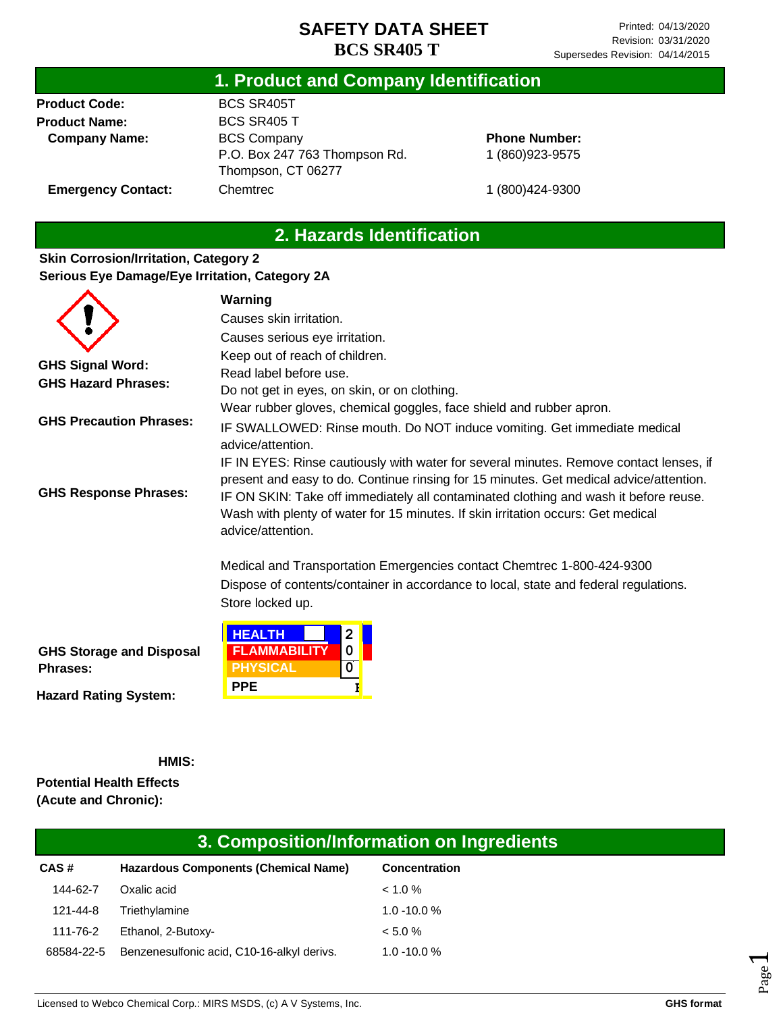### **1. Product and Company Identification**

**Product Code: Product Name: Company Name:** BCS SR405T BCS SR405 T BCS Company P.O. Box 247 763 Thompson Rd. Thompson, CT 06277 Chemtrec

**Phone Number:** 1 (860)923-9575

1 (800)424-9300

**Emergency Contact:**

## **2. Hazards Identification**

#### **Skin Corrosion/Irritation, Category 2 Serious Eye Damage/Eye Irritation, Category 2A**

|                                                    | Warning                                                                                                                                                                                                                                                                                                                                                                           |  |  |
|----------------------------------------------------|-----------------------------------------------------------------------------------------------------------------------------------------------------------------------------------------------------------------------------------------------------------------------------------------------------------------------------------------------------------------------------------|--|--|
|                                                    | Causes skin irritation.                                                                                                                                                                                                                                                                                                                                                           |  |  |
|                                                    | Causes serious eye irritation.                                                                                                                                                                                                                                                                                                                                                    |  |  |
|                                                    | Keep out of reach of children.                                                                                                                                                                                                                                                                                                                                                    |  |  |
| <b>GHS Signal Word:</b>                            | Read label before use.                                                                                                                                                                                                                                                                                                                                                            |  |  |
| <b>GHS Hazard Phrases:</b>                         | Do not get in eyes, on skin, or on clothing.                                                                                                                                                                                                                                                                                                                                      |  |  |
|                                                    | Wear rubber gloves, chemical goggles, face shield and rubber apron.                                                                                                                                                                                                                                                                                                               |  |  |
| <b>GHS Precaution Phrases:</b>                     | IF SWALLOWED: Rinse mouth. Do NOT induce vomiting. Get immediate medical<br>advice/attention.                                                                                                                                                                                                                                                                                     |  |  |
| <b>GHS Response Phrases:</b>                       | IF IN EYES: Rinse cautiously with water for several minutes. Remove contact lenses, if<br>present and easy to do. Continue rinsing for 15 minutes. Get medical advice/attention.<br>IF ON SKIN: Take off immediately all contaminated clothing and wash it before reuse.<br>Wash with plenty of water for 15 minutes. If skin irritation occurs: Get medical<br>advice/attention. |  |  |
|                                                    | Medical and Transportation Emergencies contact Chemtrec 1-800-424-9300                                                                                                                                                                                                                                                                                                            |  |  |
|                                                    | Dispose of contents/container in accordance to local, state and federal regulations.                                                                                                                                                                                                                                                                                              |  |  |
|                                                    | Store locked up.                                                                                                                                                                                                                                                                                                                                                                  |  |  |
| <b>GHS Storage and Disposal</b><br><b>Phrases:</b> | <b>HEALTH</b><br>$\overline{2}$<br><b>FLAMMABILITY</b><br>0<br>0<br><b>PHYSICAL</b>                                                                                                                                                                                                                                                                                               |  |  |

**Hazard Rating System:**

**HMIS:**

**Potential Health Effects (Acute and Chronic):**

# **3. Composition/Information on Ingredients**

| CAS#       | <b>Hazardous Components (Chemical Name)</b> | <b>Concentration</b> |
|------------|---------------------------------------------|----------------------|
| 144-62-7   | Oxalic acid                                 | $< 1.0 \%$           |
| 121-44-8   | Triethylamine                               | $1.0 - 10.0 %$       |
| 111-76-2   | Ethanol, 2-Butoxy-                          | $< 5.0 \%$           |
| 68584-22-5 | Benzenesulfonic acid, C10-16-alkyl derivs.  | $1.0 - 10.0 %$       |

**PPE B**

Page  $\overline{\phantom{0}}$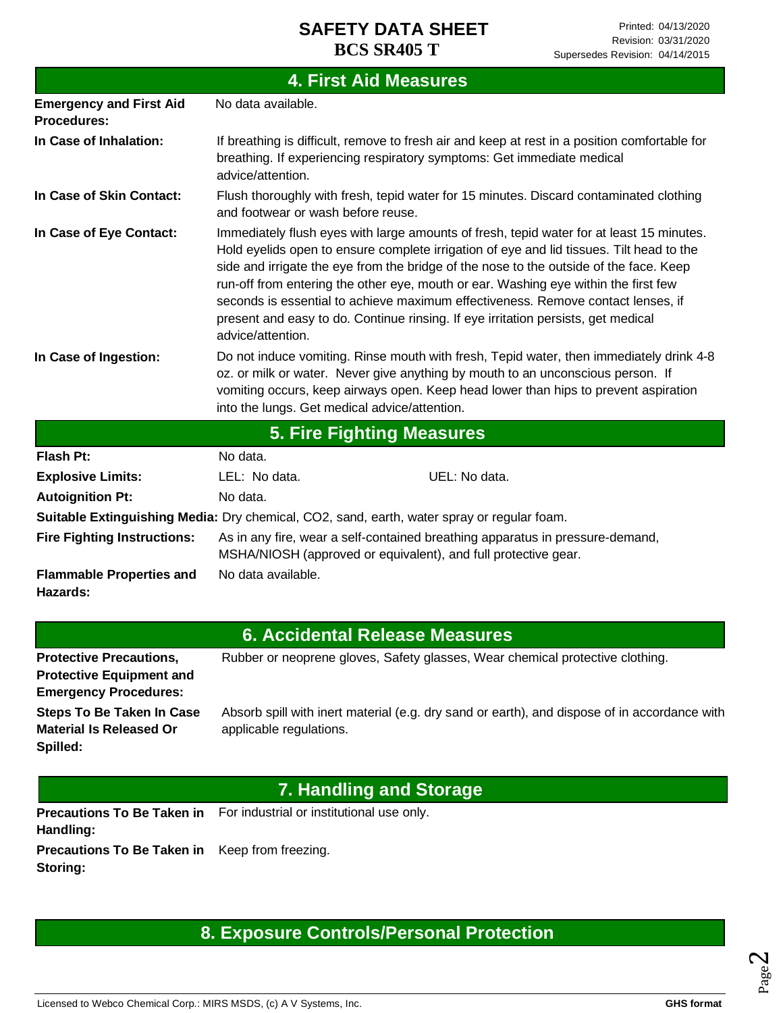| <b>4. First Aid Measures</b>                         |                                                                                                                                                                                                                                                                                                                                                                                                                                                                                                                                                                     |  |  |
|------------------------------------------------------|---------------------------------------------------------------------------------------------------------------------------------------------------------------------------------------------------------------------------------------------------------------------------------------------------------------------------------------------------------------------------------------------------------------------------------------------------------------------------------------------------------------------------------------------------------------------|--|--|
| <b>Emergency and First Aid</b><br><b>Procedures:</b> | No data available.                                                                                                                                                                                                                                                                                                                                                                                                                                                                                                                                                  |  |  |
| In Case of Inhalation:                               | If breathing is difficult, remove to fresh air and keep at rest in a position comfortable for<br>breathing. If experiencing respiratory symptoms: Get immediate medical<br>advice/attention.                                                                                                                                                                                                                                                                                                                                                                        |  |  |
| In Case of Skin Contact:                             | Flush thoroughly with fresh, tepid water for 15 minutes. Discard contaminated clothing<br>and footwear or wash before reuse.                                                                                                                                                                                                                                                                                                                                                                                                                                        |  |  |
| In Case of Eye Contact:                              | Immediately flush eyes with large amounts of fresh, tepid water for at least 15 minutes.<br>Hold eyelids open to ensure complete irrigation of eye and lid tissues. Tilt head to the<br>side and irrigate the eye from the bridge of the nose to the outside of the face. Keep<br>run-off from entering the other eye, mouth or ear. Washing eye within the first few<br>seconds is essential to achieve maximum effectiveness. Remove contact lenses, if<br>present and easy to do. Continue rinsing. If eye irritation persists, get medical<br>advice/attention. |  |  |
| In Case of Ingestion:                                | Do not induce vomiting. Rinse mouth with fresh, Tepid water, then immediately drink 4-8<br>oz. or milk or water. Never give anything by mouth to an unconscious person. If<br>vomiting occurs, keep airways open. Keep head lower than hips to prevent aspiration<br>into the lungs. Get medical advice/attention.                                                                                                                                                                                                                                                  |  |  |
|                                                      | <b>5. Fire Fighting Measures</b>                                                                                                                                                                                                                                                                                                                                                                                                                                                                                                                                    |  |  |
| <b>Flash Pt:</b>                                     | No data.                                                                                                                                                                                                                                                                                                                                                                                                                                                                                                                                                            |  |  |
| <b>Explosive Limits:</b>                             | UEL: No data.<br>LEL: No data.                                                                                                                                                                                                                                                                                                                                                                                                                                                                                                                                      |  |  |
| <b>Autoignition Pt:</b>                              | No data.                                                                                                                                                                                                                                                                                                                                                                                                                                                                                                                                                            |  |  |
|                                                      | Suitable Extinguishing Media: Dry chemical, CO2, sand, earth, water spray or regular foam.                                                                                                                                                                                                                                                                                                                                                                                                                                                                          |  |  |
| <b>Fire Fighting Instructions:</b>                   | As in any fire, wear a self-contained breathing apparatus in pressure-demand,<br>MSHA/NIOSH (approved or equivalent), and full protective gear.                                                                                                                                                                                                                                                                                                                                                                                                                     |  |  |
| <b>Flammable Properties and</b><br>Hazards:          | No data available.                                                                                                                                                                                                                                                                                                                                                                                                                                                                                                                                                  |  |  |
|                                                      | <b>6. Accidental Release Measures</b>                                                                                                                                                                                                                                                                                                                                                                                                                                                                                                                               |  |  |

|                                  | <u>u zuwende ku zuwa mutu wa kutoka kutoka kutoka mwaka wa kutoka mwaka wa kutoka mwaka wa kutoka mwaka wa kutoka </u> |
|----------------------------------|------------------------------------------------------------------------------------------------------------------------|
| <b>Protective Precautions,</b>   | Rubber or neoprene gloves, Safety glasses, Wear chemical protective clothing.                                          |
| <b>Protective Equipment and</b>  |                                                                                                                        |
| <b>Emergency Procedures:</b>     |                                                                                                                        |
| <b>Steps To Be Taken In Case</b> | Absorb spill with inert material (e.g. dry sand or earth), and dispose of in accordance with                           |
| <b>Material Is Released Or</b>   | applicable regulations.                                                                                                |
| Spilled:                         |                                                                                                                        |

# **7. Handling and Storage**

Precautions To Be Taken in For industrial or institutional use only. **Handling:**

**Precautions To Be Taken in**  Keep from freezing. **Storing:**

# **8. Exposure Controls/Personal Protection**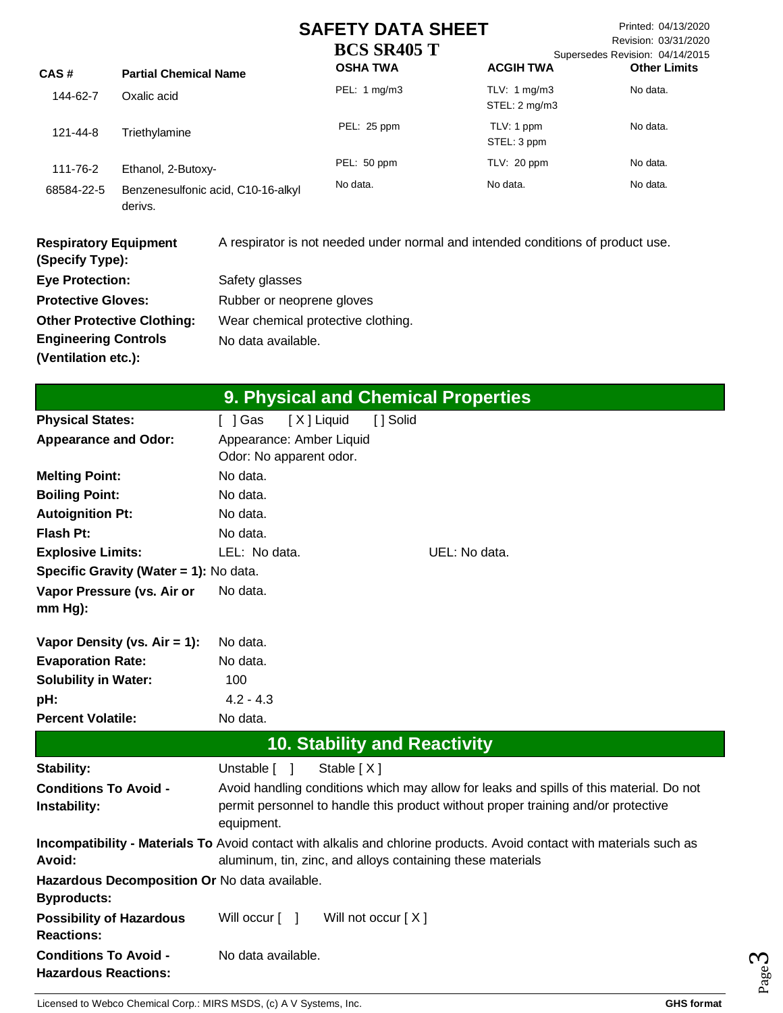Printed: 04/13/2020 Revision: 03/31/2020 Supersedes Revision: 04/14/2015 its

| CAS#       | <b>Partial Chemical Name</b>                  | <b>OSHA TWA</b> | <b>ACGIH TWA</b>                         | <b>Other Limi</b> |
|------------|-----------------------------------------------|-----------------|------------------------------------------|-------------------|
| 144-62-7   | Oxalic acid                                   | PEL: 1 mg/m3    | TLV: $1 \text{ mg/m}$ 3<br>STEL: 2 mg/m3 | No data.          |
| 121-44-8   | Triethylamine                                 | PEL: 25 ppm     | TLV: 1 ppm<br>STEL: 3 ppm                | No data.          |
| 111-76-2   | Ethanol, 2-Butoxy-                            | PEL: 50 ppm     | TLV: 20 ppm                              | No data.          |
| 68584-22-5 | Benzenesulfonic acid, C10-16-alkyl<br>derivs. | No data.        | No data.                                 | No data.          |

| <b>Respiratory Equipment</b><br>(Specify Type): | A respirator is not needed under normal and intended conditions of product use. |
|-------------------------------------------------|---------------------------------------------------------------------------------|
| <b>Eye Protection:</b>                          | Safety glasses                                                                  |
| <b>Protective Gloves:</b>                       | Rubber or neoprene gloves                                                       |
| <b>Other Protective Clothing:</b>               | Wear chemical protective clothing.                                              |
| <b>Engineering Controls</b>                     | No data available.                                                              |
| (Ventilation etc.):                             |                                                                                 |

|                                                                     |                                                     |            |                      | 9. Physical and Chemical Properties                                                                                                                                                 |
|---------------------------------------------------------------------|-----------------------------------------------------|------------|----------------------|-------------------------------------------------------------------------------------------------------------------------------------------------------------------------------------|
| <b>Physical States:</b>                                             | $[$ ] Gas                                           | [X] Liquid | [ ] Solid            |                                                                                                                                                                                     |
| <b>Appearance and Odor:</b>                                         | Appearance: Amber Liquid<br>Odor: No apparent odor. |            |                      |                                                                                                                                                                                     |
| <b>Melting Point:</b>                                               | No data.                                            |            |                      |                                                                                                                                                                                     |
| <b>Boiling Point:</b>                                               | No data.                                            |            |                      |                                                                                                                                                                                     |
| <b>Autoignition Pt:</b>                                             | No data.                                            |            |                      |                                                                                                                                                                                     |
| Flash Pt:                                                           | No data.                                            |            |                      |                                                                                                                                                                                     |
| <b>Explosive Limits:</b>                                            | LEL: No data.                                       |            |                      | UEL: No data.                                                                                                                                                                       |
| Specific Gravity (Water = 1): No data.                              |                                                     |            |                      |                                                                                                                                                                                     |
| Vapor Pressure (vs. Air or<br>$mm Hg$ :                             | No data.                                            |            |                      |                                                                                                                                                                                     |
| Vapor Density (vs. $Air = 1$ ):                                     | No data.                                            |            |                      |                                                                                                                                                                                     |
| <b>Evaporation Rate:</b>                                            | No data.                                            |            |                      |                                                                                                                                                                                     |
| <b>Solubility in Water:</b>                                         | 100                                                 |            |                      |                                                                                                                                                                                     |
| pH:                                                                 | $4.2 - 4.3$                                         |            |                      |                                                                                                                                                                                     |
| <b>Percent Volatile:</b>                                            | No data.                                            |            |                      |                                                                                                                                                                                     |
|                                                                     |                                                     |            |                      | <b>10. Stability and Reactivity</b>                                                                                                                                                 |
| Stability:                                                          | Unstable [ ]                                        | Stable [X] |                      |                                                                                                                                                                                     |
| <b>Conditions To Avoid -</b><br>Instability:                        | equipment.                                          |            |                      | Avoid handling conditions which may allow for leaks and spills of this material. Do not<br>permit personnel to handle this product without proper training and/or protective        |
| Avoid:                                                              |                                                     |            |                      | Incompatibility - Materials To Avoid contact with alkalis and chlorine products. Avoid contact with materials such as<br>aluminum, tin, zinc, and alloys containing these materials |
| Hazardous Decomposition Or No data available.<br><b>Byproducts:</b> |                                                     |            |                      |                                                                                                                                                                                     |
| <b>Possibility of Hazardous</b><br><b>Reactions:</b>                | Will occur $\lceil \quad \rceil$                    |            | Will not occur $[X]$ |                                                                                                                                                                                     |
| <b>Conditions To Avoid -</b><br><b>Hazardous Reactions:</b>         | No data available.                                  |            |                      |                                                                                                                                                                                     |

Page ო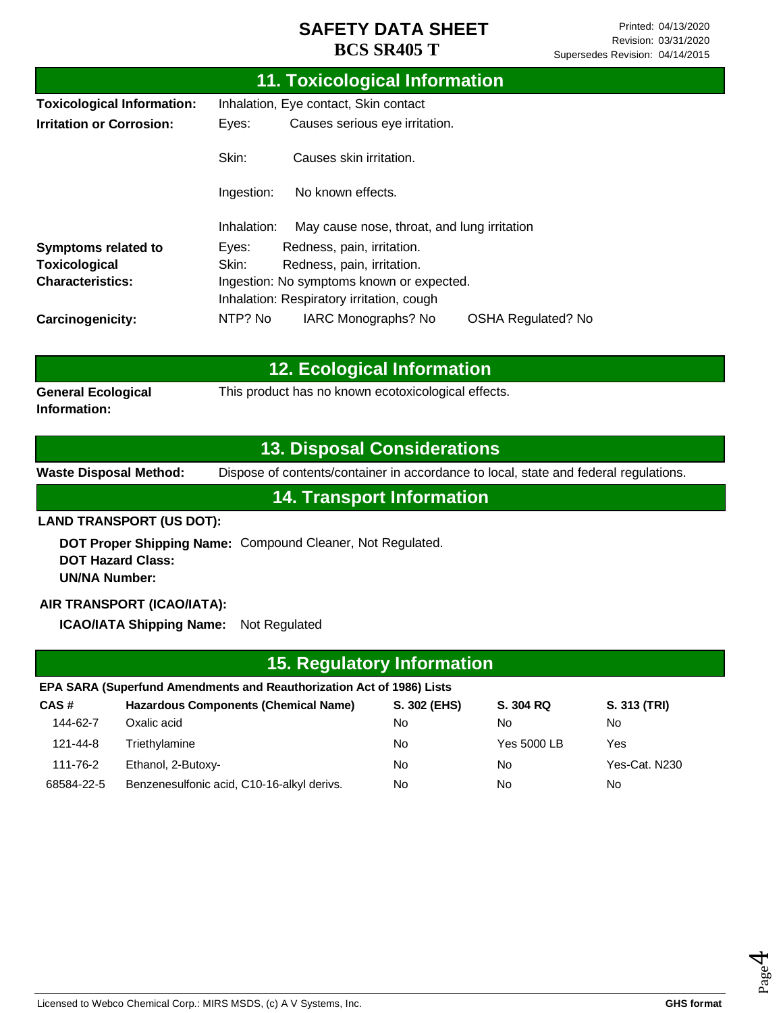|                                   |                                         | <b>11. Toxicological Information</b>        |                           |  |
|-----------------------------------|-----------------------------------------|---------------------------------------------|---------------------------|--|
| <b>Toxicological Information:</b> |                                         | Inhalation, Eye contact, Skin contact       |                           |  |
| <b>Irritation or Corrosion:</b>   | Causes serious eye irritation.<br>Eyes: |                                             |                           |  |
|                                   | Skin:                                   | Causes skin irritation.                     |                           |  |
|                                   | Ingestion:                              | No known effects.                           |                           |  |
|                                   | Inhalation:                             | May cause nose, throat, and lung irritation |                           |  |
| <b>Symptoms related to</b>        | Eyes:                                   | Redness, pain, irritation.                  |                           |  |
| Toxicological                     | Skin:                                   | Redness, pain, irritation.                  |                           |  |
| <b>Characteristics:</b>           |                                         | Ingestion: No symptoms known or expected.   |                           |  |
|                                   |                                         | Inhalation: Respiratory irritation, cough   |                           |  |
| Carcinogenicity:                  | NTP? No                                 | IARC Monographs? No                         | <b>OSHA Regulated? No</b> |  |

|                                           | <b>12. Ecological Information</b>                   |
|-------------------------------------------|-----------------------------------------------------|
| <b>General Ecological</b><br>Information: | This product has no known ecotoxicological effects. |

## **13. Disposal Considerations**

**Waste Disposal Method:** Dispose of contents/container in accordance to local, state and federal regulations.

**14. Transport Information**

#### **LAND TRANSPORT (US DOT):**

**DOT Proper Shipping Name:**  Compound Cleaner, Not Regulated. **DOT Hazard Class: UN/NA Number:**

### **AIR TRANSPORT (ICAO/IATA):**

**ICAO/IATA Shipping Name:** Not Regulated

# **15. Regulatory Information**

#### **EPA SARA (Superfund Amendments and Reauthorization Act of 1986) Lists**

| CAS#       | <b>Hazardous Components (Chemical Name)</b> | S. 302 (EHS) | S. 304 RQ   | S. 313 (TRI)  |
|------------|---------------------------------------------|--------------|-------------|---------------|
| 144-62-7   | Oxalic acid                                 | No           | No          | No.           |
| 121-44-8   | Triethylamine                               | No           | Yes 5000 LB | Yes           |
| 111-76-2   | Ethanol, 2-Butoxy-                          | No           | No          | Yes-Cat. N230 |
| 68584-22-5 | Benzenesulfonic acid, C10-16-alkyl derivs.  | No           | No          | No            |